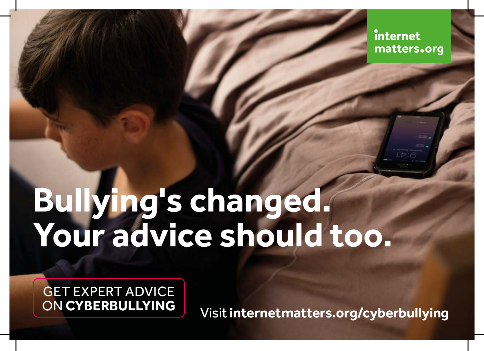internet matters.org

## **Bullying's changed. Your advice should too.**

GET EXPERT ADVICE ON **CYBERBULLYING**

Visit **internetmatters.org/cyberbullying**